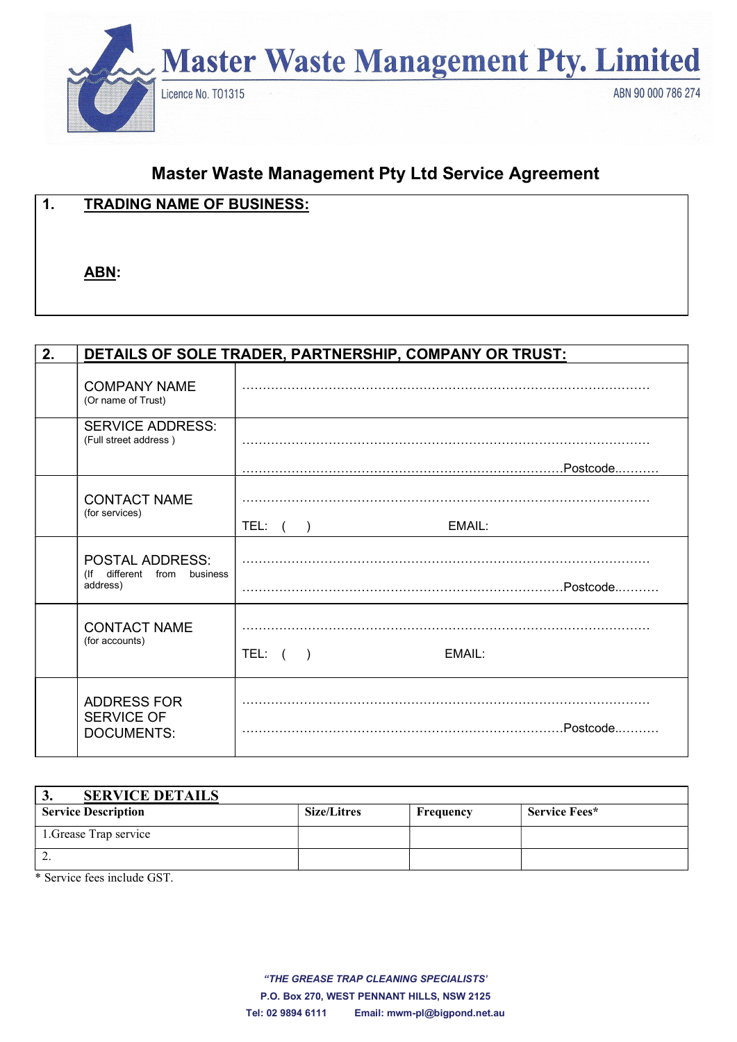

# Master Waste Management Pty Ltd Service Agreement

| $\overline{\mathbf{1}}$<br>. . | <b>TRADING NAME OF BUSINESS:</b> |
|--------------------------------|----------------------------------|
|                                |                                  |
|                                | ABN:                             |

| 2. | DETAILS OF SOLE TRADER, PARTNERSHIP, COMPANY OR TRUST:               |                      |  |  |
|----|----------------------------------------------------------------------|----------------------|--|--|
|    | <b>COMPANY NAME</b><br>(Or name of Trust)                            |                      |  |  |
|    | <b>SERVICE ADDRESS:</b><br>(Full street address)                     |                      |  |  |
|    |                                                                      |                      |  |  |
|    | <b>CONTACT NAME</b><br>(for services)                                |                      |  |  |
|    |                                                                      | TEL: ( )<br>EMAIL:   |  |  |
|    | <b>POSTAL ADDRESS:</b><br>(If different from<br>business<br>address) |                      |  |  |
|    | <b>CONTACT NAME</b><br>(for accounts)                                | TEL: $( )$<br>EMAIL: |  |  |
|    | <b>ADDRESS FOR</b><br><b>SERVICE OF</b><br><b>DOCUMENTS:</b>         |                      |  |  |

| <b>SERVICE DETAILS</b><br>◡. |                    |           |               |
|------------------------------|--------------------|-----------|---------------|
| <b>Service Description</b>   | <b>Size/Litres</b> | Frequency | Service Fees* |
| 1. Grease Trap service       |                    |           |               |
| ٠.                           |                    |           |               |

\* Service fees include GST.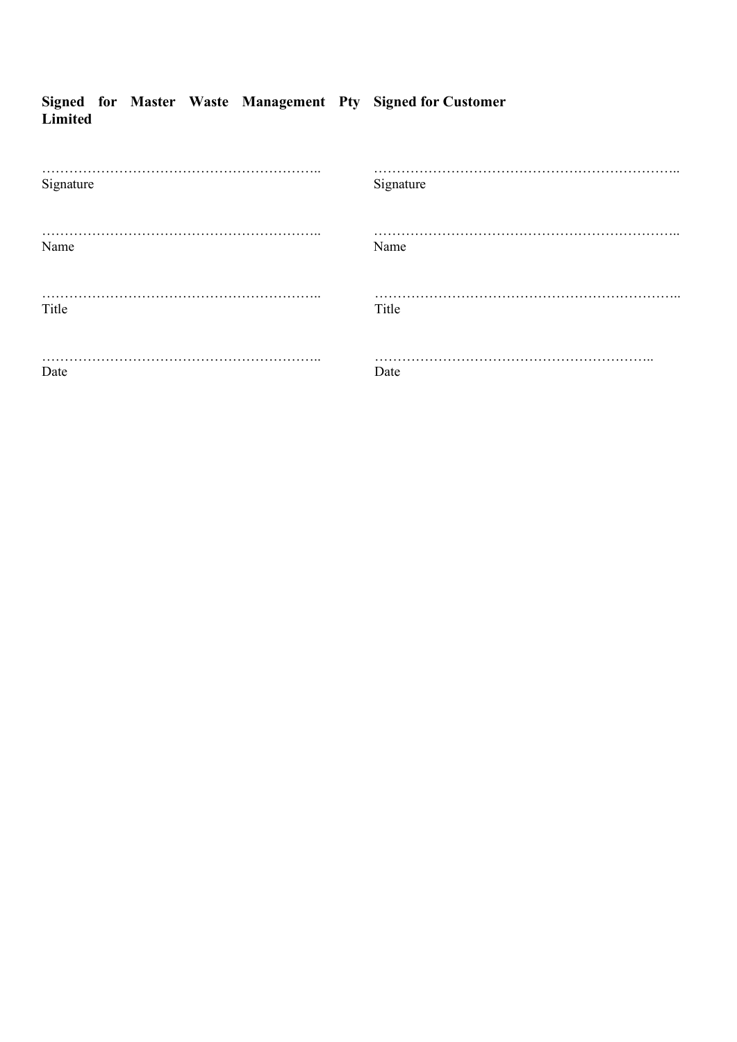|         |  |  | Signed for Master Waste Management Pty Signed for Customer |
|---------|--|--|------------------------------------------------------------|
| Limited |  |  |                                                            |

| Signature | Signature |
|-----------|-----------|
|           | .         |
| Name      | Name      |
|           | .         |
| Title     | Title     |
|           |           |
| .         | $\cdots$  |
| Date      | Date      |